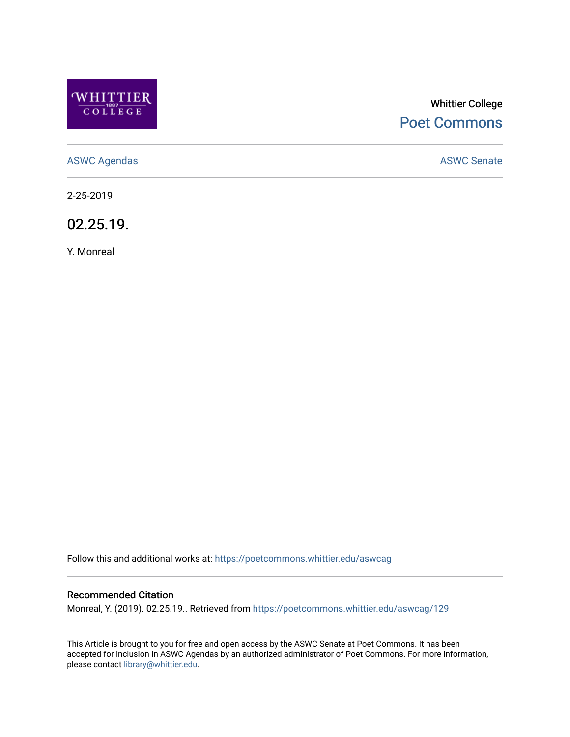

# Whittier College [Poet Commons](https://poetcommons.whittier.edu/)

[ASWC Agendas](https://poetcommons.whittier.edu/aswcag) **ASWC Senate** 

2-25-2019

02.25.19.

Y. Monreal

Follow this and additional works at: [https://poetcommons.whittier.edu/aswcag](https://poetcommons.whittier.edu/aswcag?utm_source=poetcommons.whittier.edu%2Faswcag%2F129&utm_medium=PDF&utm_campaign=PDFCoverPages) 

## Recommended Citation

Monreal, Y. (2019). 02.25.19.. Retrieved from [https://poetcommons.whittier.edu/aswcag/129](https://poetcommons.whittier.edu/aswcag/129?utm_source=poetcommons.whittier.edu%2Faswcag%2F129&utm_medium=PDF&utm_campaign=PDFCoverPages) 

This Article is brought to you for free and open access by the ASWC Senate at Poet Commons. It has been accepted for inclusion in ASWC Agendas by an authorized administrator of Poet Commons. For more information, please contact [library@whittier.edu](mailto:library@whittier.edu).